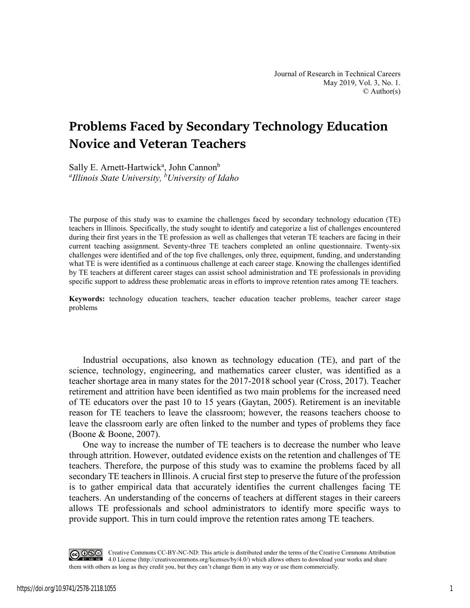# **Problems Faced by Secondary Technology Education Novice and Veteran Teachers**

Sally E. Arnett-Hartwick<sup>a</sup>, John Cannon<sup>b</sup> *a Illinois State University, b University of Idaho* 

The purpose of this study was to examine the challenges faced by secondary technology education (TE) teachers in Illinois. Specifically, the study sought to identify and categorize a list of challenges encountered during their first years in the TE profession as well as challenges that veteran TE teachers are facing in their current teaching assignment. Seventy-three TE teachers completed an online questionnaire. Twenty-six challenges were identified and of the top five challenges, only three, equipment, funding, and understanding what TE is were identified as a continuous challenge at each career stage. Knowing the challenges identified by TE teachers at different career stages can assist school administration and TE professionals in providing specific support to address these problematic areas in efforts to improve retention rates among TE teachers.

**Keywords:** technology education teachers, teacher education teacher problems, teacher career stage problems

Industrial occupations, also known as technology education (TE), and part of the science, technology, engineering, and mathematics career cluster, was identified as a teacher shortage area in many states for the 2017-2018 school year (Cross, 2017). Teacher retirement and attrition have been identified as two main problems for the increased need of TE educators over the past 10 to 15 years (Gaytan, 2005). Retirement is an inevitable reason for TE teachers to leave the classroom; however, the reasons teachers choose to leave the classroom early are often linked to the number and types of problems they face (Boone & Boone, 2007).

One way to increase the number of TE teachers is to decrease the number who leave through attrition. However, outdated evidence exists on the retention and challenges of TE teachers. Therefore, the purpose of this study was to examine the problems faced by all secondary TE teachers in Illinois. A crucial first step to preserve the future of the profession is to gather empirical data that accurately identifies the current challenges facing TE teachers. An understanding of the concerns of teachers at different stages in their careers allows TE professionals and school administrators to identify more specific ways to provide support. This in turn could improve the retention rates among TE teachers.

COOO Creative Commons CC-BY-NC-ND: This article is distributed under the terms of the Creative Commons Attribution 4.0 License (http://creativecommons.org/licenses/by/4.0/) which allows others to download your works and share them with others as long as they credit you, but they can't change them in any way or use them commercially.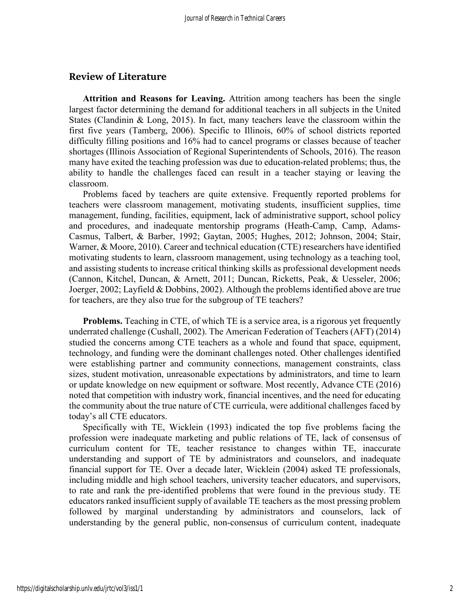### **Review of Literature**

**Attrition and Reasons for Leaving.** Attrition among teachers has been the single largest factor determining the demand for additional teachers in all subjects in the United States (Clandinin & Long, 2015). In fact, many teachers leave the classroom within the first five years (Tamberg, 2006). Specific to Illinois, 60% of school districts reported difficulty filling positions and 16% had to cancel programs or classes because of teacher shortages (Illinois Association of Regional Superintendents of Schools, 2016). The reason many have exited the teaching profession was due to education-related problems; thus, the ability to handle the challenges faced can result in a teacher staying or leaving the classroom.

Problems faced by teachers are quite extensive. Frequently reported problems for teachers were classroom management, motivating students, insufficient supplies, time management, funding, facilities, equipment, lack of administrative support, school policy and procedures, and inadequate mentorship programs (Heath-Camp, Camp, Adams-Casmus, Talbert, & Barber, 1992; Gaytan, 2005; Hughes, 2012; Johnson, 2004; Stair, Warner, & Moore, 2010). Career and technical education (CTE) researchers have identified motivating students to learn, classroom management, using technology as a teaching tool, and assisting students to increase critical thinking skills as professional development needs (Cannon, Kitchel, Duncan, & Arnett, 2011; Duncan, Ricketts, Peak, & Uesseler, 2006; Joerger, 2002; Layfield & Dobbins, 2002). Although the problems identified above are true for teachers, are they also true for the subgroup of TE teachers?

**Problems.** Teaching in CTE, of which TE is a service area, is a rigorous yet frequently underrated challenge (Cushall, 2002). The American Federation of Teachers (AFT) (2014) studied the concerns among CTE teachers as a whole and found that space, equipment, technology, and funding were the dominant challenges noted. Other challenges identified were establishing partner and community connections, management constraints, class sizes, student motivation, unreasonable expectations by administrators, and time to learn or update knowledge on new equipment or software. Most recently, Advance CTE (2016) noted that competition with industry work, financial incentives, and the need for educating the community about the true nature of CTE curricula, were additional challenges faced by today's all CTE educators.

Specifically with TE, Wicklein (1993) indicated the top five problems facing the profession were inadequate marketing and public relations of TE, lack of consensus of curriculum content for TE, teacher resistance to changes within TE, inaccurate understanding and support of TE by administrators and counselors, and inadequate financial support for TE. Over a decade later, Wicklein (2004) asked TE professionals, including middle and high school teachers, university teacher educators, and supervisors, to rate and rank the pre-identified problems that were found in the previous study. TE educators ranked insufficient supply of available TE teachers as the most pressing problem followed by marginal understanding by administrators and counselors, lack of understanding by the general public, non-consensus of curriculum content, inadequate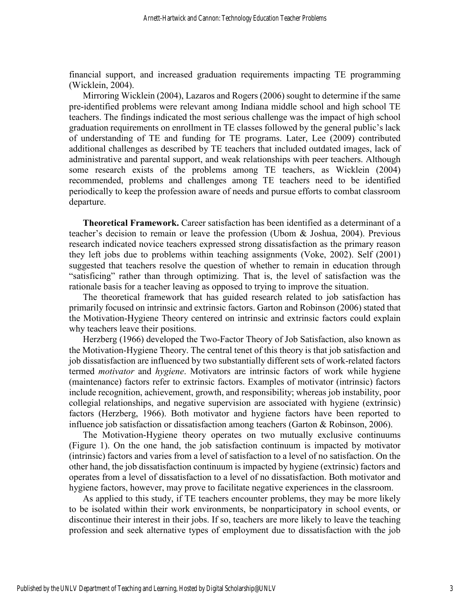financial support, and increased graduation requirements impacting TE programming (Wicklein, 2004).

Mirroring Wicklein (2004), Lazaros and Rogers (2006) sought to determine if the same pre-identified problems were relevant among Indiana middle school and high school TE teachers. The findings indicated the most serious challenge was the impact of high school graduation requirements on enrollment in TE classes followed by the general public's lack of understanding of TE and funding for TE programs. Later, Lee (2009) contributed additional challenges as described by TE teachers that included outdated images, lack of administrative and parental support, and weak relationships with peer teachers. Although some research exists of the problems among TE teachers, as Wicklein (2004) recommended, problems and challenges among TE teachers need to be identified periodically to keep the profession aware of needs and pursue efforts to combat classroom departure.

**Theoretical Framework.** Career satisfaction has been identified as a determinant of a teacher's decision to remain or leave the profession (Ubom & Joshua, 2004). Previous research indicated novice teachers expressed strong dissatisfaction as the primary reason they left jobs due to problems within teaching assignments (Voke, 2002). Self (2001) suggested that teachers resolve the question of whether to remain in education through "satisficing" rather than through optimizing. That is, the level of satisfaction was the rationale basis for a teacher leaving as opposed to trying to improve the situation.

The theoretical framework that has guided research related to job satisfaction has primarily focused on intrinsic and extrinsic factors. Garton and Robinson (2006) stated that the Motivation-Hygiene Theory centered on intrinsic and extrinsic factors could explain why teachers leave their positions.

Herzberg (1966) developed the Two-Factor Theory of Job Satisfaction, also known as the Motivation-Hygiene Theory. The central tenet of this theory is that job satisfaction and job dissatisfaction are influenced by two substantially different sets of work-related factors termed *motivator* and *hygiene*. Motivators are intrinsic factors of work while hygiene (maintenance) factors refer to extrinsic factors. Examples of motivator (intrinsic) factors include recognition, achievement, growth, and responsibility; whereas job instability, poor collegial relationships, and negative supervision are associated with hygiene (extrinsic) factors (Herzberg, 1966). Both motivator and hygiene factors have been reported to influence job satisfaction or dissatisfaction among teachers (Garton & Robinson, 2006).

The Motivation-Hygiene theory operates on two mutually exclusive continuums (Figure 1). On the one hand, the job satisfaction continuum is impacted by motivator (intrinsic) factors and varies from a level of satisfaction to a level of no satisfaction. On the other hand, the job dissatisfaction continuum is impacted by hygiene (extrinsic) factors and operates from a level of dissatisfaction to a level of no dissatisfaction. Both motivator and hygiene factors, however, may prove to facilitate negative experiences in the classroom.

As applied to this study, if TE teachers encounter problems, they may be more likely to be isolated within their work environments, be nonparticipatory in school events, or discontinue their interest in their jobs. If so, teachers are more likely to leave the teaching profession and seek alternative types of employment due to dissatisfaction with the job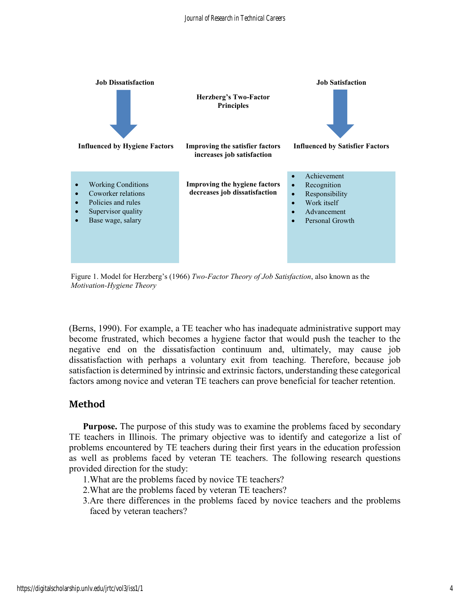

Figure 1. Model for Herzberg's (1966) *Two-Factor Theory of Job Satisfaction*, also known as the *Motivation-Hygiene Theory*

(Berns, 1990). For example, a TE teacher who has inadequate administrative support may become frustrated, which becomes a hygiene factor that would push the teacher to the negative end on the dissatisfaction continuum and, ultimately, may cause job dissatisfaction with perhaps a voluntary exit from teaching. Therefore, because job satisfaction is determined by intrinsic and extrinsic factors, understanding these categorical factors among novice and veteran TE teachers can prove beneficial for teacher retention.

# **Method**

**Purpose.** The purpose of this study was to examine the problems faced by secondary TE teachers in Illinois. The primary objective was to identify and categorize a list of problems encountered by TE teachers during their first years in the education profession as well as problems faced by veteran TE teachers. The following research questions provided direction for the study:

- 1.What are the problems faced by novice TE teachers?
- 2.What are the problems faced by veteran TE teachers?
- 3.Are there differences in the problems faced by novice teachers and the problems faced by veteran teachers?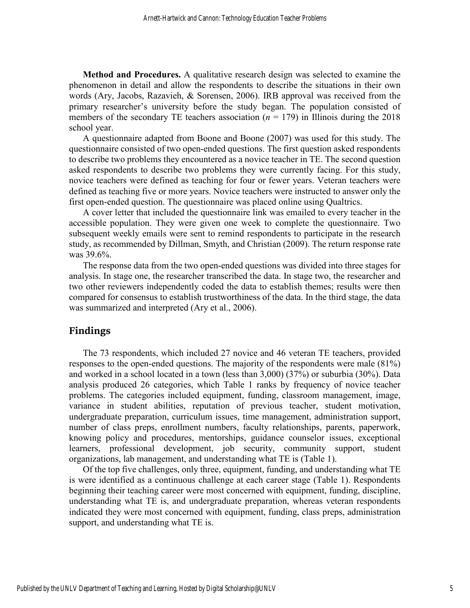**Method and Procedures.** A qualitative research design was selected to examine the phenomenon in detail and allow the respondents to describe the situations in their own words (Ary, Jacobs, Razavieh, & Sorensen, 2006). IRB approval was received from the primary researcher's university before the study began. The population consisted of members of the secondary TE teachers association  $(n = 179)$  in Illinois during the 2018 school year.

A questionnaire adapted from Boone and Boone (2007) was used for this study. The questionnaire consisted of two open-ended questions. The first question asked respondents to describe two problems they encountered as a novice teacher in TE. The second question asked respondents to describe two problems they were currently facing. For this study, novice teachers were defined as teaching for four or fewer years. Veteran teachers were defined as teaching five or more years. Novice teachers were instructed to answer only the first open-ended question. The questionnaire was placed online using Qualtrics.

A cover letter that included the questionnaire link was emailed to every teacher in the accessible population. They were given one week to complete the questionnaire. Two subsequent weekly emails were sent to remind respondents to participate in the research study, as recommended by Dillman, Smyth, and Christian (2009). The return response rate was 39.6%.

The response data from the two open-ended questions was divided into three stages for analysis. In stage one, the researcher transcribed the data. In stage two, the researcher and two other reviewers independently coded the data to establish themes; results were then compared for consensus to establish trustworthiness of the data. In the third stage, the data was summarized and interpreted (Ary et al., 2006).

### **Findings**

The 73 respondents, which included 27 novice and 46 veteran TE teachers, provided responses to the open-ended questions. The majority of the respondents were male (81%) and worked in a school located in a town (less than 3,000) (37%) or suburbia (30%). Data analysis produced 26 categories, which Table 1 ranks by frequency of novice teacher problems. The categories included equipment, funding, classroom management, image, variance in student abilities, reputation of previous teacher, student motivation, undergraduate preparation, curriculum issues, time management, administration support, number of class preps, enrollment numbers, faculty relationships, parents, paperwork, knowing policy and procedures, mentorships, guidance counselor issues, exceptional learners, professional development, job security, community support, student organizations, lab management, and understanding what TE is (Table 1).

Of the top five challenges, only three, equipment, funding, and understanding what TE is were identified as a continuous challenge at each career stage (Table 1). Respondents beginning their teaching career were most concerned with equipment, funding, discipline, understanding what TE is, and undergraduate preparation, whereas veteran respondents indicated they were most concerned with equipment, funding, class preps, administration support, and understanding what TE is.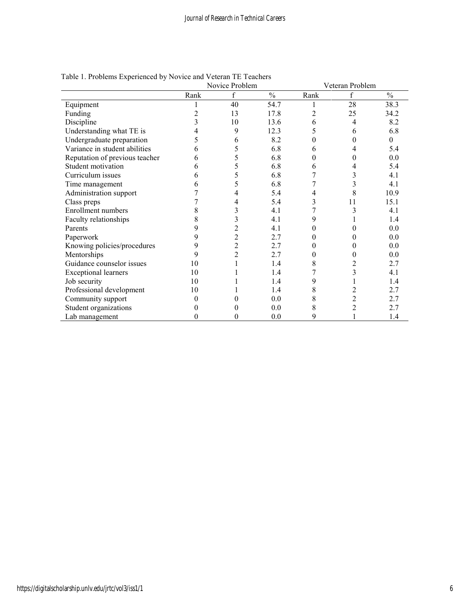|                                | Novice Problem |    |               | Veteran Problem |                |               |
|--------------------------------|----------------|----|---------------|-----------------|----------------|---------------|
|                                | Rank           |    | $\frac{0}{0}$ | Rank            | f              | $\frac{0}{0}$ |
| Equipment                      |                | 40 | 54.7          |                 | 28             | 38.3          |
| Funding                        | 2              | 13 | 17.8          | 2               | 25             | 34.2          |
| Discipline                     |                | 10 | 13.6          | 6               | 4              | 8.2           |
| Understanding what TE is       |                | 9  | 12.3          | 5               | 6              | 6.8           |
| Undergraduate preparation      |                | 6  | 8.2           | 0               |                | $\theta$      |
| Variance in student abilities  | 6              | 5  | 6.8           | 6               |                | 5.4           |
| Reputation of previous teacher | 6              | 5  | 6.8           | 0               |                | 0.0           |
| Student motivation             |                |    | 6.8           | 6               |                | 5.4           |
| Curriculum issues              | 6              | 5  | 6.8           | 7               | 3              | 4.1           |
| Time management                |                | 5  | 6.8           | 7               | 3              | 4.1           |
| Administration support         |                |    | 5.4           | 4               | 8              | 10.9          |
| Class preps                    |                |    | 5.4           | 3               | 11             | 15.1          |
| Enrollment numbers             | 8              | 3  | 4.1           | 7               | 3              | 4.1           |
| Faculty relationships          | 8              | 3  | 4.1           | 9               |                | 1.4           |
| Parents                        | 9              | 2  | 4.1           | 0               |                | 0.0           |
| Paperwork                      | 9              | 2  | 2.7           | 0               |                | 0.0           |
| Knowing policies/procedures    | 9              | 2  | 2.7           | 0               |                | 0.0           |
| Mentorships                    | 9              | 2  | 2.7           | 0               |                | $0.0\,$       |
| Guidance counselor issues      | 10             |    | 1.4           | 8               | 2              | 2.7           |
| <b>Exceptional learners</b>    | 10             |    | 1.4           | 7               | 3              | 4.1           |
| Job security                   | 10             |    | 1.4           | 9               |                | 1.4           |
| Professional development       | 10             |    | 1.4           | 8               | 2              | 2.7           |
| Community support              |                |    | 0.0           | 8               | $\overline{c}$ | 2.7           |
| Student organizations          |                |    | 0.0           | 8               | 2              | 2.7           |
| Lab management                 | 0              |    | 0.0           | 9               |                | 1.4           |

# Table 1. Problems Experienced by Novice and Veteran TE Teachers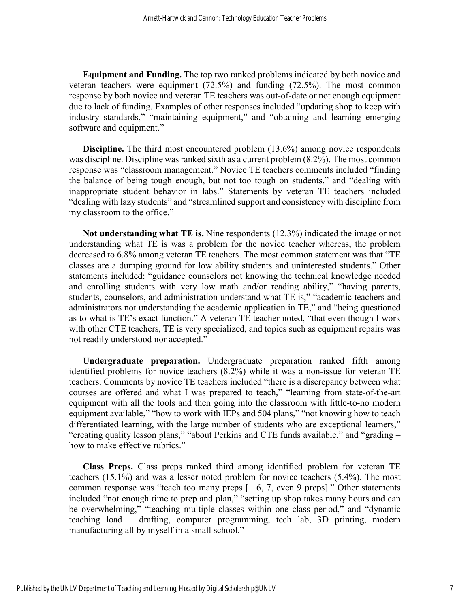**Equipment and Funding.** The top two ranked problems indicated by both novice and veteran teachers were equipment (72.5%) and funding (72.5%). The most common response by both novice and veteran TE teachers was out-of-date or not enough equipment due to lack of funding. Examples of other responses included "updating shop to keep with industry standards," "maintaining equipment," and "obtaining and learning emerging software and equipment."

**Discipline.** The third most encountered problem (13.6%) among novice respondents was discipline. Discipline was ranked sixth as a current problem (8.2%). The most common response was "classroom management." Novice TE teachers comments included "finding the balance of being tough enough, but not too tough on students," and "dealing with inappropriate student behavior in labs." Statements by veteran TE teachers included "dealing with lazy students" and "streamlined support and consistency with discipline from my classroom to the office."

**Not understanding what TE is.** Nine respondents (12.3%) indicated the image or not understanding what TE is was a problem for the novice teacher whereas, the problem decreased to 6.8% among veteran TE teachers. The most common statement was that "TE classes are a dumping ground for low ability students and uninterested students." Other statements included: "guidance counselors not knowing the technical knowledge needed and enrolling students with very low math and/or reading ability," "having parents, students, counselors, and administration understand what TE is," "academic teachers and administrators not understanding the academic application in TE," and "being questioned as to what is TE's exact function." A veteran TE teacher noted, "that even though I work with other CTE teachers, TE is very specialized, and topics such as equipment repairs was not readily understood nor accepted."

**Undergraduate preparation.** Undergraduate preparation ranked fifth among identified problems for novice teachers (8.2%) while it was a non-issue for veteran TE teachers. Comments by novice TE teachers included "there is a discrepancy between what courses are offered and what I was prepared to teach," "learning from state-of-the-art equipment with all the tools and then going into the classroom with little-to-no modern equipment available," "how to work with IEPs and 504 plans," "not knowing how to teach differentiated learning, with the large number of students who are exceptional learners," "creating quality lesson plans," "about Perkins and CTE funds available," and "grading – how to make effective rubrics."

**Class Preps.** Class preps ranked third among identified problem for veteran TE teachers (15.1%) and was a lesser noted problem for novice teachers (5.4%). The most common response was "teach too many preps  $[-6, 7,$  even 9 preps]." Other statements included "not enough time to prep and plan," "setting up shop takes many hours and can be overwhelming," "teaching multiple classes within one class period," and "dynamic teaching load – drafting, computer programming, tech lab, 3D printing, modern manufacturing all by myself in a small school."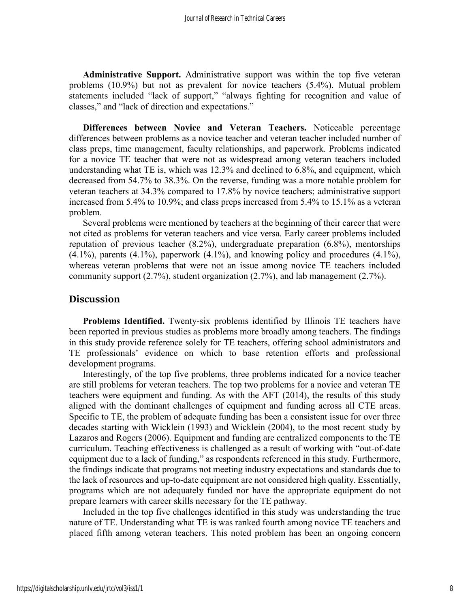**Administrative Support.** Administrative support was within the top five veteran problems (10.9%) but not as prevalent for novice teachers (5.4%). Mutual problem statements included "lack of support," "always fighting for recognition and value of classes," and "lack of direction and expectations."

**Differences between Novice and Veteran Teachers.** Noticeable percentage differences between problems as a novice teacher and veteran teacher included number of class preps, time management, faculty relationships, and paperwork. Problems indicated for a novice TE teacher that were not as widespread among veteran teachers included understanding what TE is, which was 12.3% and declined to 6.8%, and equipment, which decreased from 54.7% to 38.3%. On the reverse, funding was a more notable problem for veteran teachers at 34.3% compared to 17.8% by novice teachers; administrative support increased from 5.4% to 10.9%; and class preps increased from 5.4% to 15.1% as a veteran problem.

Several problems were mentioned by teachers at the beginning of their career that were not cited as problems for veteran teachers and vice versa. Early career problems included reputation of previous teacher (8.2%), undergraduate preparation (6.8%), mentorships  $(4.1\%)$ , parents  $(4.1\%)$ , paperwork  $(4.1\%)$ , and knowing policy and procedures  $(4.1\%)$ , whereas veteran problems that were not an issue among novice TE teachers included community support (2.7%), student organization (2.7%), and lab management (2.7%).

#### **Discussion**

**Problems Identified.** Twenty-six problems identified by Illinois TE teachers have been reported in previous studies as problems more broadly among teachers. The findings in this study provide reference solely for TE teachers, offering school administrators and TE professionals' evidence on which to base retention efforts and professional development programs.

Interestingly, of the top five problems, three problems indicated for a novice teacher are still problems for veteran teachers. The top two problems for a novice and veteran TE teachers were equipment and funding. As with the AFT (2014), the results of this study aligned with the dominant challenges of equipment and funding across all CTE areas. Specific to TE, the problem of adequate funding has been a consistent issue for over three decades starting with Wicklein (1993) and Wicklein (2004), to the most recent study by Lazaros and Rogers (2006). Equipment and funding are centralized components to the TE curriculum. Teaching effectiveness is challenged as a result of working with "out-of-date equipment due to a lack of funding," as respondents referenced in this study. Furthermore, the findings indicate that programs not meeting industry expectations and standards due to the lack of resources and up-to-date equipment are not considered high quality. Essentially, programs which are not adequately funded nor have the appropriate equipment do not prepare learners with career skills necessary for the TE pathway.

Included in the top five challenges identified in this study was understanding the true nature of TE. Understanding what TE is was ranked fourth among novice TE teachers and placed fifth among veteran teachers. This noted problem has been an ongoing concern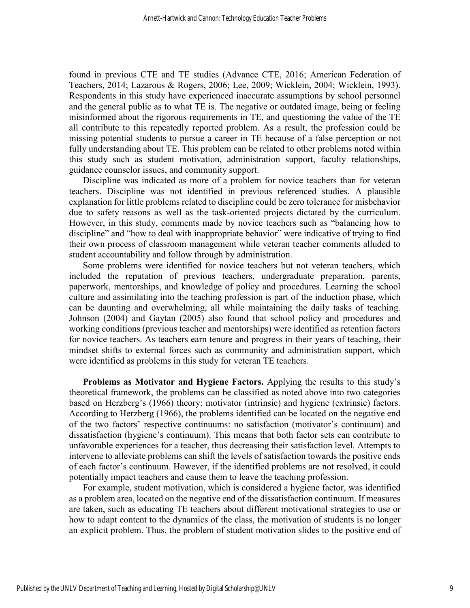found in previous CTE and TE studies (Advance CTE, 2016; American Federation of Teachers, 2014; Lazarous & Rogers, 2006; Lee, 2009; Wicklein, 2004; Wicklein, 1993). Respondents in this study have experienced inaccurate assumptions by school personnel and the general public as to what TE is. The negative or outdated image, being or feeling misinformed about the rigorous requirements in TE, and questioning the value of the TE all contribute to this repeatedly reported problem. As a result, the profession could be missing potential students to pursue a career in TE because of a false perception or not fully understanding about TE. This problem can be related to other problems noted within this study such as student motivation, administration support, faculty relationships, guidance counselor issues, and community support.

Discipline was indicated as more of a problem for novice teachers than for veteran teachers. Discipline was not identified in previous referenced studies. A plausible explanation for little problems related to discipline could be zero tolerance for misbehavior due to safety reasons as well as the task-oriented projects dictated by the curriculum. However, in this study, comments made by novice teachers such as "balancing how to discipline" and "how to deal with inappropriate behavior" were indicative of trying to find their own process of classroom management while veteran teacher comments alluded to student accountability and follow through by administration.

Some problems were identified for novice teachers but not veteran teachers, which included the reputation of previous teachers, undergraduate preparation, parents, paperwork, mentorships, and knowledge of policy and procedures. Learning the school culture and assimilating into the teaching profession is part of the induction phase, which can be daunting and overwhelming, all while maintaining the daily tasks of teaching. Johnson (2004) and Gaytan (2005) also found that school policy and procedures and working conditions (previous teacher and mentorships) were identified as retention factors for novice teachers. As teachers earn tenure and progress in their years of teaching, their mindset shifts to external forces such as community and administration support, which were identified as problems in this study for veteran TE teachers.

**Problems as Motivator and Hygiene Factors.** Applying the results to this study's theoretical framework, the problems can be classified as noted above into two categories based on Herzberg's (1966) theory: motivator (intrinsic) and hygiene (extrinsic) factors. According to Herzberg (1966), the problems identified can be located on the negative end of the two factors' respective continuums: no satisfaction (motivator's continuum) and dissatisfaction (hygiene's continuum). This means that both factor sets can contribute to unfavorable experiences for a teacher, thus decreasing their satisfaction level. Attempts to intervene to alleviate problems can shift the levels of satisfaction towards the positive ends of each factor's continuum. However, if the identified problems are not resolved, it could potentially impact teachers and cause them to leave the teaching profession.

For example, student motivation, which is considered a hygiene factor, was identified as a problem area, located on the negative end of the dissatisfaction continuum. If measures are taken, such as educating TE teachers about different motivational strategies to use or how to adapt content to the dynamics of the class, the motivation of students is no longer an explicit problem. Thus, the problem of student motivation slides to the positive end of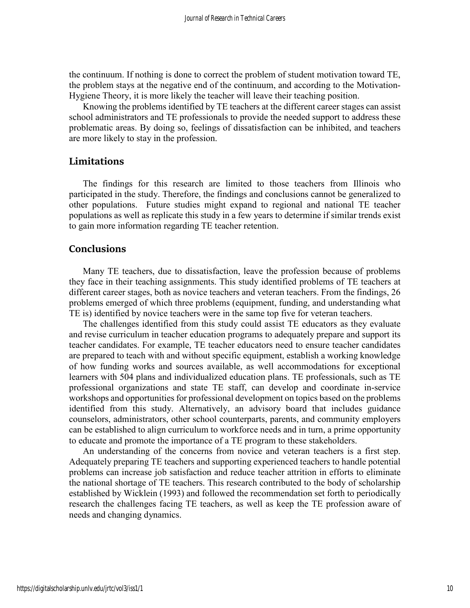the continuum. If nothing is done to correct the problem of student motivation toward TE, the problem stays at the negative end of the continuum, and according to the Motivation-Hygiene Theory, it is more likely the teacher will leave their teaching position.

Knowing the problems identified by TE teachers at the different career stages can assist school administrators and TE professionals to provide the needed support to address these problematic areas. By doing so, feelings of dissatisfaction can be inhibited, and teachers are more likely to stay in the profession.

### **Limitations**

The findings for this research are limited to those teachers from Illinois who participated in the study. Therefore, the findings and conclusions cannot be generalized to other populations. Future studies might expand to regional and national TE teacher populations as well as replicate this study in a few years to determine if similar trends exist to gain more information regarding TE teacher retention.

### **Conclusions**

Many TE teachers, due to dissatisfaction, leave the profession because of problems they face in their teaching assignments. This study identified problems of TE teachers at different career stages, both as novice teachers and veteran teachers. From the findings, 26 problems emerged of which three problems (equipment, funding, and understanding what TE is) identified by novice teachers were in the same top five for veteran teachers.

The challenges identified from this study could assist TE educators as they evaluate and revise curriculum in teacher education programs to adequately prepare and support its teacher candidates. For example, TE teacher educators need to ensure teacher candidates are prepared to teach with and without specific equipment, establish a working knowledge of how funding works and sources available, as well accommodations for exceptional learners with 504 plans and individualized education plans. TE professionals, such as TE professional organizations and state TE staff, can develop and coordinate in-service workshops and opportunities for professional development on topics based on the problems identified from this study. Alternatively, an advisory board that includes guidance counselors, administrators, other school counterparts, parents, and community employers can be established to align curriculum to workforce needs and in turn, a prime opportunity to educate and promote the importance of a TE program to these stakeholders.

An understanding of the concerns from novice and veteran teachers is a first step. Adequately preparing TE teachers and supporting experienced teachers to handle potential problems can increase job satisfaction and reduce teacher attrition in efforts to eliminate the national shortage of TE teachers. This research contributed to the body of scholarship established by Wicklein (1993) and followed the recommendation set forth to periodically research the challenges facing TE teachers, as well as keep the TE profession aware of needs and changing dynamics.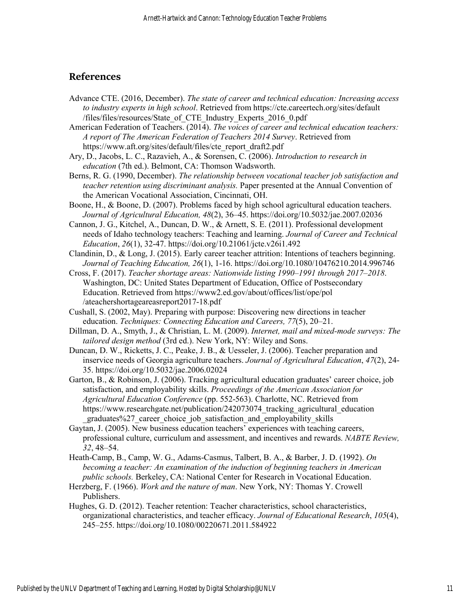# **References**

- Advance CTE. (2016, December). *The state of career and technical education: Increasing access to industry experts in high school*. Retrieved from https://cte.careertech.org/sites/default /files/files/resources/State\_of\_CTE\_Industry\_Experts\_2016\_0.pdf
- American Federation of Teachers. (2014). *The voices of career and technical education teachers: A report of The American Federation of Teachers 2014 Survey*. Retrieved from https://www.aft.org/sites/default/files/cte\_report\_draft2.pdf
- Ary, D., Jacobs, L. C., Razavieh, A., & Sorensen, C. (2006). *Introduction to research in education* (7th ed.). Belmont, CA: Thomson Wadsworth.
- Berns, R. G. (1990, December). *The relationship between vocational teacher job satisfaction and teacher retention using discriminant analysis.* Paper presented at the Annual Convention of the American Vocational Association, Cincinnati, OH.
- Boone, H., & Boone, D. (2007). Problems faced by high school agricultural education teachers. *Journal of Agricultural Education, 48*(2), 36–45. https://doi.org/10.5032/jae.2007.02036
- Cannon, J. G., Kitchel, A., Duncan, D. W., & Arnett, S. E. (2011). Professional development needs of Idaho technology teachers: Teaching and learning. *Journal of Career and Technical Education*, *26*(1), 32-47. https://doi.org/10.21061/jcte.v26i1.492
- Clandinin, D., & Long, J. (2015). Early career teacher attrition: Intentions of teachers beginning. *Journal of Teaching Education, 26*(1), 1-16. https://doi.org/10.1080/10476210.2014.996746
- Cross, F. (2017). *Teacher shortage areas: Nationwide listing 1990–1991 through 2017–2018*. Washington, DC: United States Department of Education, Office of Postsecondary Education. Retrieved from https://www2.ed.gov/about/offices/list/ope/pol /ateachershortageareasreport2017-18.pdf
- Cushall, S. (2002, May). Preparing with purpose: Discovering new directions in teacher education. *Techniques: Connecting Education and Careers, 77*(5), 20–21.
- Dillman, D. A., Smyth, J., & Christian, L. M. (2009). *Internet, mail and mixed-mode surveys: The tailored design method* (3rd ed.). New York, NY: Wiley and Sons.
- Duncan, D. W., Ricketts, J. C., Peake, J. B., & Uesseler, J. (2006). Teacher preparation and inservice needs of Georgia agriculture teachers. *Journal of Agricultural Education*, *47*(2), 24- 35. https://doi.org/10.5032/jae.2006.02024
- Garton, B., & Robinson, J. (2006). Tracking agricultural education graduates' career choice, job satisfaction, and employability skills. *Proceedings of the American Association for Agricultural Education Conference* (pp. 552-563). Charlotte, NC. Retrieved from https://www.researchgate.net/publication/242073074 tracking agricultural education \_graduates%27\_career\_choice\_job\_satisfaction\_and\_employability\_skills
- Gaytan, J. (2005). New business education teachers' experiences with teaching careers, professional culture, curriculum and assessment, and incentives and rewards. *NABTE Review, 32*, 48–54.
- Heath-Camp, B., Camp, W. G., Adams-Casmus, Talbert, B. A., & Barber, J. D. (1992). *On becoming a teacher: An examination of the induction of beginning teachers in American public schools.* Berkeley, CA: National Center for Research in Vocational Education.
- Herzberg, F. (1966). *Work and the nature of man*. New York, NY: Thomas Y. Crowell Publishers.
- Hughes, G. D. (2012). Teacher retention: Teacher characteristics, school characteristics, organizational characteristics, and teacher efficacy. *Journal of Educational Research*, *105*(4), 245–255. https://doi.org/10.1080/00220671.2011.584922